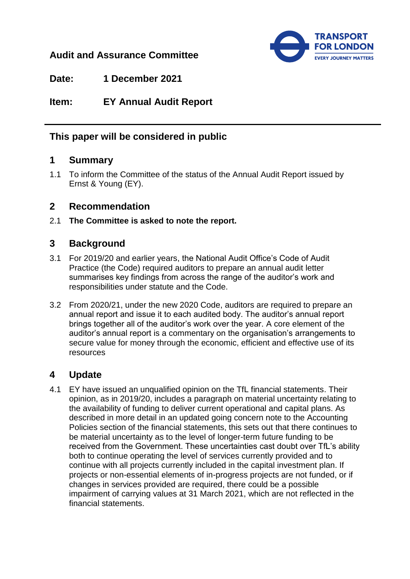## **Audit and Assurance Committee**



**Date: 1 December 2021**

**Item: EY Annual Audit Report**

# **This paper will be considered in public**

### **1 Summary**

1.1 To inform the Committee of the status of the Annual Audit Report issued by Ernst & Young (EY).

### **2 Recommendation**

2.1 **The Committee is asked to note the report.**

## **3 Background**

- 3.1 For 2019/20 and earlier years, the National Audit Office's Code of Audit Practice (the Code) required auditors to prepare an annual audit letter summarises key findings from across the range of the auditor's work and responsibilities under statute and the Code.
- 3.2 From 2020/21, under the new 2020 Code, auditors are required to prepare an annual report and issue it to each audited body. The auditor's annual report brings together all of the auditor's work over the year. A core element of the auditor's annual report is a commentary on the organisation's arrangements to secure value for money through the economic, efficient and effective use of its resources

### **4 Update**

4.1 EY have issued an unqualified opinion on the TfL financial statements. Their opinion, as in 2019/20, includes a paragraph on material uncertainty relating to the availability of funding to deliver current operational and capital plans. As described in more detail in an updated going concern note to the Accounting Policies section of the financial statements, this sets out that there continues to be material uncertainty as to the level of longer-term future funding to be received from the Government. These uncertainties cast doubt over TfL's ability both to continue operating the level of services currently provided and to continue with all projects currently included in the capital investment plan. If projects or non-essential elements of in-progress projects are not funded, or if changes in services provided are required, there could be a possible impairment of carrying values at 31 March 2021, which are not reflected in the financial statements.